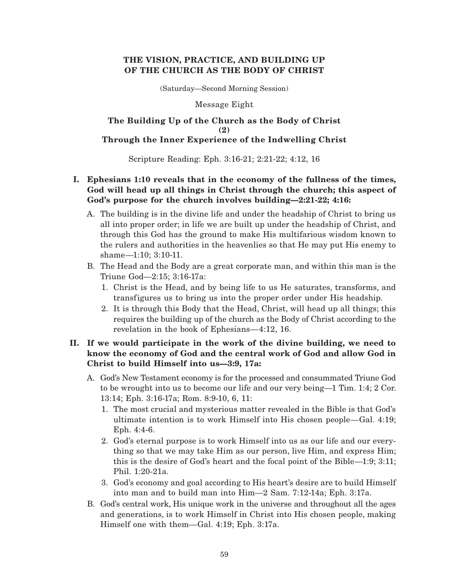# **THE VISION, PRACTICE, AND BUILDING UP OF THE CHURCH AS THE BODY OF CHRIST**

(Saturday—Second Morning Session)

Message Eight

## **The Building Up of the Church as the Body of Christ (2) Through the Inner Experience of the Indwelling Christ**

Scripture Reading: Eph. 3:16-21; 2:21-22; 4:12, 16

- **I. Ephesians 1:10 reveals that in the economy of the fullness of the times, God will head up all things in Christ through the church; this aspect of God's purpose for the church involves building—2:21-22; 4:16:**
	- A. The building is in the divine life and under the headship of Christ to bring us all into proper order; in life we are built up under the headship of Christ, and through this God has the ground to make His multifarious wisdom known to the rulers and authorities in the heavenlies so that He may put His enemy to shame—1:10; 3:10-11.
	- B. The Head and the Body are a great corporate man, and within this man is the Triune God—2:15; 3:16-17a:
		- 1. Christ is the Head, and by being life to us He saturates, transforms, and transfigures us to bring us into the proper order under His headship.
		- 2. It is through this Body that the Head, Christ, will head up all things; this requires the building up of the church as the Body of Christ according to the revelation in the book of Ephesians—4:12, 16.

## **II. If we would participate in the work of the divine building, we need to know the economy of God and the central work of God and allow God in Christ to build Himself into us—3:9, 17a:**

- A. God's New Testament economy is for the processed and consummated Triune God to be wrought into us to become our life and our very being—1 Tim. 1:4; 2 Cor. 13:14; Eph. 3:16-17a; Rom. 8:9-10, 6, 11:
	- 1. The most crucial and mysterious matter revealed in the Bible is that God's ultimate intention is to work Himself into His chosen people—Gal. 4:19; Eph. 4:4-6.
	- 2. God's eternal purpose is to work Himself into us as our life and our everything so that we may take Him as our person, live Him, and express Him; this is the desire of God's heart and the focal point of the Bible—1:9; 3:11; Phil. 1:20-21a.
	- 3. God's economy and goal according to His heart's desire are to build Himself into man and to build man into Him—2 Sam. 7:12-14a; Eph. 3:17a.
- B. God's central work, His unique work in the universe and throughout all the ages and generations, is to work Himself in Christ into His chosen people, making Himself one with them—Gal. 4:19; Eph. 3:17a.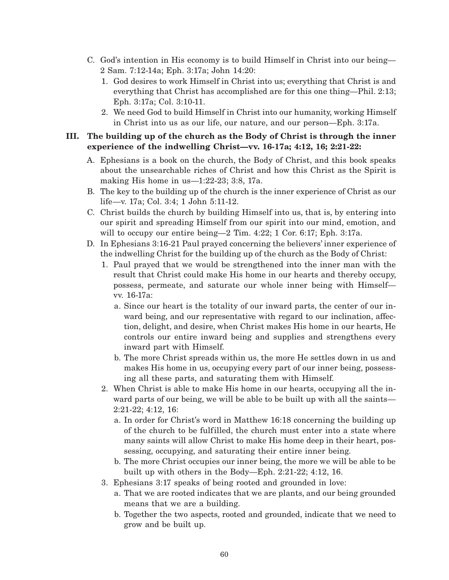- C. God's intention in His economy is to build Himself in Christ into our being— 2 Sam. 7:12-14a; Eph. 3:17a; John 14:20:
	- 1. God desires to work Himself in Christ into us; everything that Christ is and everything that Christ has accomplished are for this one thing—Phil. 2:13; Eph. 3:17a; Col. 3:10-11.
	- 2. We need God to build Himself in Christ into our humanity, working Himself in Christ into us as our life, our nature, and our person—Eph. 3:17a.

## **III. The building up of the church as the Body of Christ is through the inner experience of the indwelling Christ—vv. 16-17a; 4:12, 16; 2:21-22:**

- A. Ephesians is a book on the church, the Body of Christ, and this book speaks about the unsearchable riches of Christ and how this Christ as the Spirit is making His home in us—1:22-23; 3:8, 17a.
- B. The key to the building up of the church is the inner experience of Christ as our life—v. 17a; Col. 3:4; 1 John 5:11-12.
- C. Christ builds the church by building Himself into us, that is, by entering into our spirit and spreading Himself from our spirit into our mind, emotion, and will to occupy our entire being—2 Tim. 4:22; 1 Cor. 6:17; Eph. 3:17a.
- D. In Ephesians 3:16-21 Paul prayed concerning the believers' inner experience of the indwelling Christ for the building up of the church as the Body of Christ:
	- 1. Paul prayed that we would be strengthened into the inner man with the result that Christ could make His home in our hearts and thereby occupy, possess, permeate, and saturate our whole inner being with Himself vv. 16-17a:
		- a. Since our heart is the totality of our inward parts, the center of our inward being, and our representative with regard to our inclination, affection, delight, and desire, when Christ makes His home in our hearts, He controls our entire inward being and supplies and strengthens every inward part with Himself.
		- b. The more Christ spreads within us, the more He settles down in us and makes His home in us, occupying every part of our inner being, possessing all these parts, and saturating them with Himself.
	- 2. When Christ is able to make His home in our hearts, occupying all the inward parts of our being, we will be able to be built up with all the saints— 2:21-22; 4:12, 16:
		- a. In order for Christ's word in Matthew 16:18 concerning the building up of the church to be fulfilled, the church must enter into a state where many saints will allow Christ to make His home deep in their heart, possessing, occupying, and saturating their entire inner being.
		- b. The more Christ occupies our inner being, the more we will be able to be built up with others in the Body—Eph. 2:21-22; 4:12, 16.
	- 3. Ephesians 3:17 speaks of being rooted and grounded in love:
		- a. That we are rooted indicates that we are plants, and our being grounded means that we are a building.
		- b. Together the two aspects, rooted and grounded, indicate that we need to grow and be built up.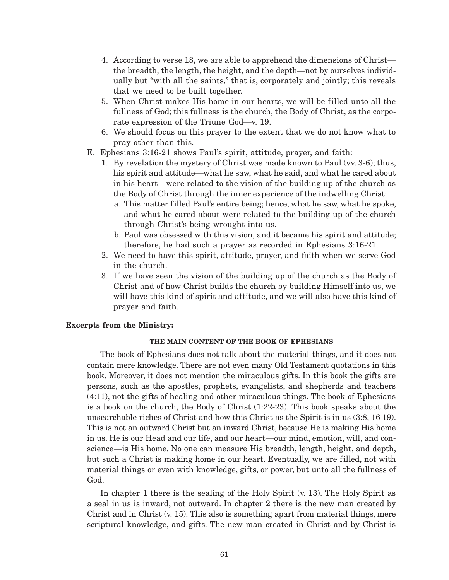- 4. According to verse 18, we are able to apprehend the dimensions of Christ the breadth, the length, the height, and the depth—not by ourselves individually but "with all the saints," that is, corporately and jointly; this reveals that we need to be built together.
- 5. When Christ makes His home in our hearts, we will be filled unto all the fullness of God; this fullness is the church, the Body of Christ, as the corporate expression of the Triune God—v. 19.
- 6. We should focus on this prayer to the extent that we do not know what to pray other than this.
- E. Ephesians 3:16-21 shows Paul's spirit, attitude, prayer, and faith:
	- 1. By revelation the mystery of Christ was made known to Paul (vv. 3-6); thus, his spirit and attitude—what he saw, what he said, and what he cared about in his heart—were related to the vision of the building up of the church as the Body of Christ through the inner experience of the indwelling Christ:
		- a. This matter filled Paul's entire being; hence, what he saw, what he spoke, and what he cared about were related to the building up of the church through Christ's being wrought into us.
		- b. Paul was obsessed with this vision, and it became his spirit and attitude; therefore, he had such a prayer as recorded in Ephesians 3:16-21.
	- 2. We need to have this spirit, attitude, prayer, and faith when we serve God in the church.
	- 3. If we have seen the vision of the building up of the church as the Body of Christ and of how Christ builds the church by building Himself into us, we will have this kind of spirit and attitude, and we will also have this kind of prayer and faith.

### **Excerpts from the Ministry:**

#### **THE MAIN CONTENT OF THE BOOK OF EPHESIANS**

The book of Ephesians does not talk about the material things, and it does not contain mere knowledge. There are not even many Old Testament quotations in this book. Moreover, it does not mention the miraculous gifts. In this book the gifts are persons, such as the apostles, prophets, evangelists, and shepherds and teachers (4:11), not the gifts of healing and other miraculous things. The book of Ephesians is a book on the church, the Body of Christ (1:22-23). This book speaks about the unsearchable riches of Christ and how this Christ as the Spirit is in us (3:8, 16-19). This is not an outward Christ but an inward Christ, because He is making His home in us. He is our Head and our life, and our heart—our mind, emotion, will, and conscience—is His home. No one can measure His breadth, length, height, and depth, but such a Christ is making home in our heart. Eventually, we are filled, not with material things or even with knowledge, gifts, or power, but unto all the fullness of God.

In chapter 1 there is the sealing of the Holy Spirit (v. 13). The Holy Spirit as a seal in us is inward, not outward. In chapter 2 there is the new man created by Christ and in Christ (v. 15). This also is something apart from material things, mere scriptural knowledge, and gifts. The new man created in Christ and by Christ is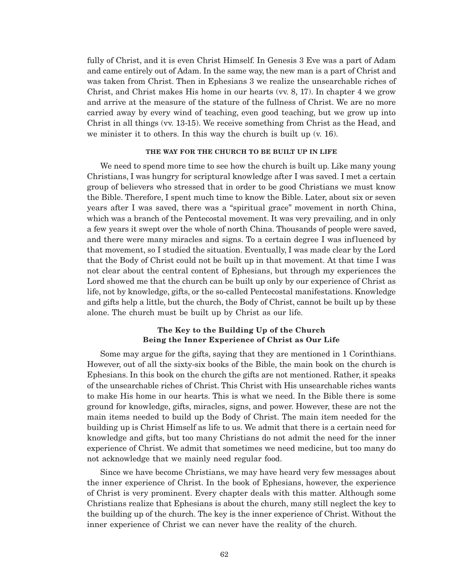fully of Christ, and it is even Christ Himself. In Genesis 3 Eve was a part of Adam and came entirely out of Adam. In the same way, the new man is a part of Christ and was taken from Christ. Then in Ephesians 3 we realize the unsearchable riches of Christ, and Christ makes His home in our hearts (vv. 8, 17). In chapter 4 we grow and arrive at the measure of the stature of the fullness of Christ. We are no more carried away by every wind of teaching, even good teaching, but we grow up into Christ in all things (vv. 13-15). We receive something from Christ as the Head, and we minister it to others. In this way the church is built up (v. 16).

#### **THE WAY FOR THE CHURCH TO BE BUILT UP IN LIFE**

We need to spend more time to see how the church is built up. Like many young Christians, I was hungry for scriptural knowledge after I was saved. I met a certain group of believers who stressed that in order to be good Christians we must know the Bible. Therefore, I spent much time to know the Bible. Later, about six or seven years after I was saved, there was a "spiritual grace" movement in north China, which was a branch of the Pentecostal movement. It was very prevailing, and in only a few years it swept over the whole of north China. Thousands of people were saved, and there were many miracles and signs. To a certain degree I was influenced by that movement, so I studied the situation. Eventually, I was made clear by the Lord that the Body of Christ could not be built up in that movement. At that time I was not clear about the central content of Ephesians, but through my experiences the Lord showed me that the church can be built up only by our experience of Christ as life, not by knowledge, gifts, or the so-called Pentecostal manifestations. Knowledge and gifts help a little, but the church, the Body of Christ, cannot be built up by these alone. The church must be built up by Christ as our life.

### **The Key to the Building Up of the Church Being the Inner Experience of Christ as Our Life**

Some may argue for the gifts, saying that they are mentioned in 1 Corinthians. However, out of all the sixty-six books of the Bible, the main book on the church is Ephesians. In this book on the church the gifts are not mentioned. Rather, it speaks of the unsearchable riches of Christ. This Christ with His unsearchable riches wants to make His home in our hearts. This is what we need. In the Bible there is some ground for knowledge, gifts, miracles, signs, and power. However, these are not the main items needed to build up the Body of Christ. The main item needed for the building up is Christ Himself as life to us. We admit that there is a certain need for knowledge and gifts, but too many Christians do not admit the need for the inner experience of Christ. We admit that sometimes we need medicine, but too many do not acknowledge that we mainly need regular food.

Since we have become Christians, we may have heard very few messages about the inner experience of Christ. In the book of Ephesians, however, the experience of Christ is very prominent. Every chapter deals with this matter. Although some Christians realize that Ephesians is about the church, many still neglect the key to the building up of the church. The key is the inner experience of Christ. Without the inner experience of Christ we can never have the reality of the church.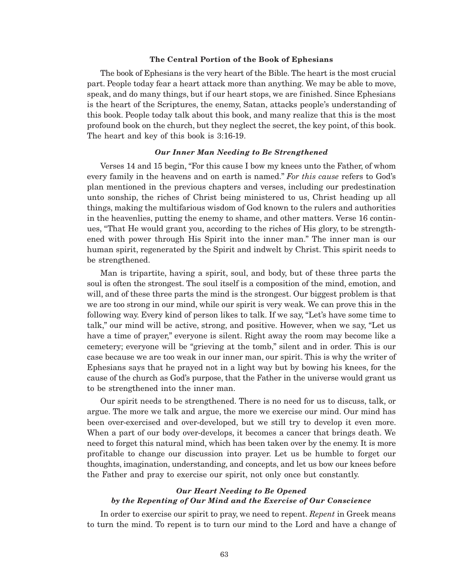#### **The Central Portion of the Book of Ephesians**

The book of Ephesians is the very heart of the Bible. The heart is the most crucial part. People today fear a heart attack more than anything. We may be able to move, speak, and do many things, but if our heart stops, we are finished. Since Ephesians is the heart of the Scriptures, the enemy, Satan, attacks people's understanding of this book. People today talk about this book, and many realize that this is the most profound book on the church, but they neglect the secret, the key point, of this book. The heart and key of this book is 3:16-19.

#### *Our Inner Man Needing to Be Strengthened*

Verses 14 and 15 begin, "For this cause I bow my knees unto the Father, of whom every family in the heavens and on earth is named." *For this cause* refers to God's plan mentioned in the previous chapters and verses, including our predestination unto sonship, the riches of Christ being ministered to us, Christ heading up all things, making the multifarious wisdom of God known to the rulers and authorities in the heavenlies, putting the enemy to shame, and other matters. Verse 16 continues, "That He would grant you, according to the riches of His glory, to be strengthened with power through His Spirit into the inner man." The inner man is our human spirit, regenerated by the Spirit and indwelt by Christ. This spirit needs to be strengthened.

Man is tripartite, having a spirit, soul, and body, but of these three parts the soul is often the strongest. The soul itself is a composition of the mind, emotion, and will, and of these three parts the mind is the strongest. Our biggest problem is that we are too strong in our mind, while our spirit is very weak. We can prove this in the following way. Every kind of person likes to talk. If we say, "Let's have some time to talk," our mind will be active, strong, and positive. However, when we say, "Let us have a time of prayer," everyone is silent. Right away the room may become like a cemetery; everyone will be "grieving at the tomb," silent and in order. This is our case because we are too weak in our inner man, our spirit. This is why the writer of Ephesians says that he prayed not in a light way but by bowing his knees, for the cause of the church as God's purpose, that the Father in the universe would grant us to be strengthened into the inner man.

Our spirit needs to be strengthened. There is no need for us to discuss, talk, or argue. The more we talk and argue, the more we exercise our mind. Our mind has been over-exercised and over-developed, but we still try to develop it even more. When a part of our body over-develops, it becomes a cancer that brings death. We need to forget this natural mind, which has been taken over by the enemy. It is more profitable to change our discussion into prayer. Let us be humble to forget our thoughts, imagination, understanding, and concepts, and let us bow our knees before the Father and pray to exercise our spirit, not only once but constantly.

## *Our Heart Needing to Be Opened by the Repenting of Our Mind and the Exercise of Our Conscience*

In order to exercise our spirit to pray, we need to repent. *Repent* in Greek means to turn the mind. To repent is to turn our mind to the Lord and have a change of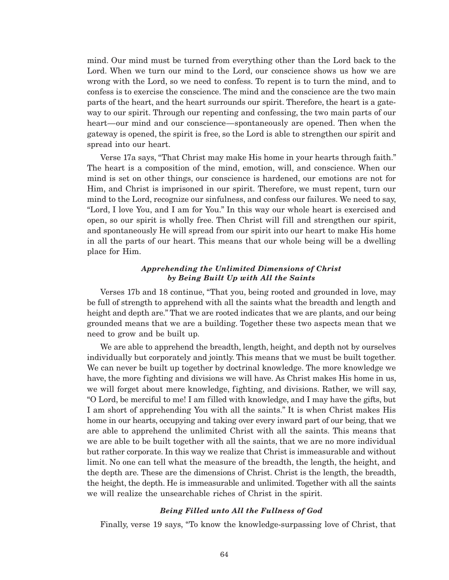mind. Our mind must be turned from everything other than the Lord back to the Lord. When we turn our mind to the Lord, our conscience shows us how we are wrong with the Lord, so we need to confess. To repent is to turn the mind, and to confess is to exercise the conscience. The mind and the conscience are the two main parts of the heart, and the heart surrounds our spirit. Therefore, the heart is a gateway to our spirit. Through our repenting and confessing, the two main parts of our heart—our mind and our conscience—spontaneously are opened. Then when the gateway is opened, the spirit is free, so the Lord is able to strengthen our spirit and spread into our heart.

Verse 17a says, "That Christ may make His home in your hearts through faith." The heart is a composition of the mind, emotion, will, and conscience. When our mind is set on other things, our conscience is hardened, our emotions are not for Him, and Christ is imprisoned in our spirit. Therefore, we must repent, turn our mind to the Lord, recognize our sinfulness, and confess our failures. We need to say, "Lord, I love You, and I am for You." In this way our whole heart is exercised and open, so our spirit is wholly free. Then Christ will fill and strengthen our spirit, and spontaneously He will spread from our spirit into our heart to make His home in all the parts of our heart. This means that our whole being will be a dwelling place for Him.

### *Apprehending the Unlimited Dimensions of Christ by Being Built Up with All the Saints*

Verses 17b and 18 continue, "That you, being rooted and grounded in love, may be full of strength to apprehend with all the saints what the breadth and length and height and depth are." That we are rooted indicates that we are plants, and our being grounded means that we are a building. Together these two aspects mean that we need to grow and be built up.

We are able to apprehend the breadth, length, height, and depth not by ourselves individually but corporately and jointly. This means that we must be built together. We can never be built up together by doctrinal knowledge. The more knowledge we have, the more fighting and divisions we will have. As Christ makes His home in us, we will forget about mere knowledge, fighting, and divisions. Rather, we will say, "O Lord, be merciful to me! I am filled with knowledge, and I may have the gifts, but I am short of apprehending You with all the saints." It is when Christ makes His home in our hearts, occupying and taking over every inward part of our being, that we are able to apprehend the unlimited Christ with all the saints. This means that we are able to be built together with all the saints, that we are no more individual but rather corporate. In this way we realize that Christ is immeasurable and without limit. No one can tell what the measure of the breadth, the length, the height, and the depth are. These are the dimensions of Christ. Christ is the length, the breadth, the height, the depth. He is immeasurable and unlimited. Together with all the saints we will realize the unsearchable riches of Christ in the spirit.

#### *Being Filled unto All the Fullness of God*

Finally, verse 19 says, "To know the knowledge-surpassing love of Christ, that